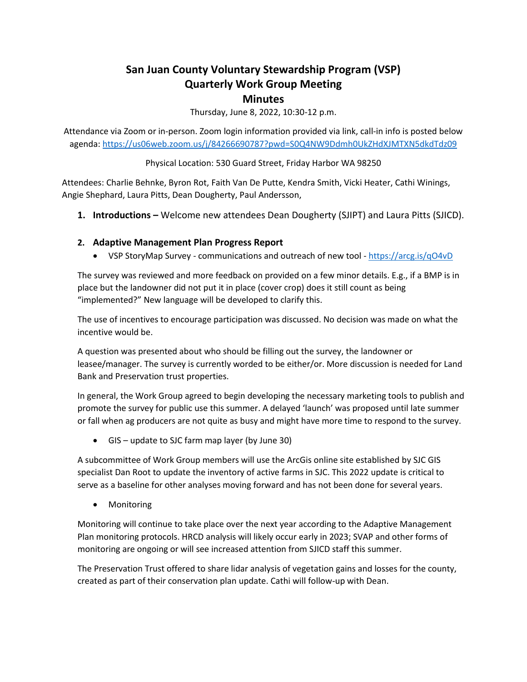# **San Juan County Voluntary Stewardship Program (VSP) Quarterly Work Group Meeting Minutes**

Thursday, June 8, 2022, 10:30-12 p.m.

Attendance via Zoom or in-person. Zoom login information provided via link, call-in info is posted below agenda:<https://us06web.zoom.us/j/84266690787?pwd=S0Q4NW9Ddmh0UkZHdXJMTXN5dkdTdz09>

#### Physical Location: 530 Guard Street, Friday Harbor WA 98250

Attendees: Charlie Behnke, Byron Rot, Faith Van De Putte, Kendra Smith, Vicki Heater, Cathi Winings, Angie Shephard, Laura Pitts, Dean Dougherty, Paul Andersson,

**1. Introductions –** Welcome new attendees Dean Dougherty (SJIPT) and Laura Pitts (SJICD).

### **2. Adaptive Management Plan Progress Report**

• VSP StoryMap Survey - communications and outreach of new tool - <https://arcg.is/qO4vD>

The survey was reviewed and more feedback on provided on a few minor details. E.g., if a BMP is in place but the landowner did not put it in place (cover crop) does it still count as being "implemented?" New language will be developed to clarify this.

The use of incentives to encourage participation was discussed. No decision was made on what the incentive would be.

A question was presented about who should be filling out the survey, the landowner or leasee/manager. The survey is currently worded to be either/or. More discussion is needed for Land Bank and Preservation trust properties.

In general, the Work Group agreed to begin developing the necessary marketing tools to publish and promote the survey for public use this summer. A delayed 'launch' was proposed until late summer or fall when ag producers are not quite as busy and might have more time to respond to the survey.

• GIS – update to SJC farm map layer (by June 30)

A subcommittee of Work Group members will use the ArcGis online site established by SJC GIS specialist Dan Root to update the inventory of active farms in SJC. This 2022 update is critical to serve as a baseline for other analyses moving forward and has not been done for several years.

• Monitoring

Monitoring will continue to take place over the next year according to the Adaptive Management Plan monitoring protocols. HRCD analysis will likely occur early in 2023; SVAP and other forms of monitoring are ongoing or will see increased attention from SJICD staff this summer.

The Preservation Trust offered to share lidar analysis of vegetation gains and losses for the county, created as part of their conservation plan update. Cathi will follow-up with Dean.